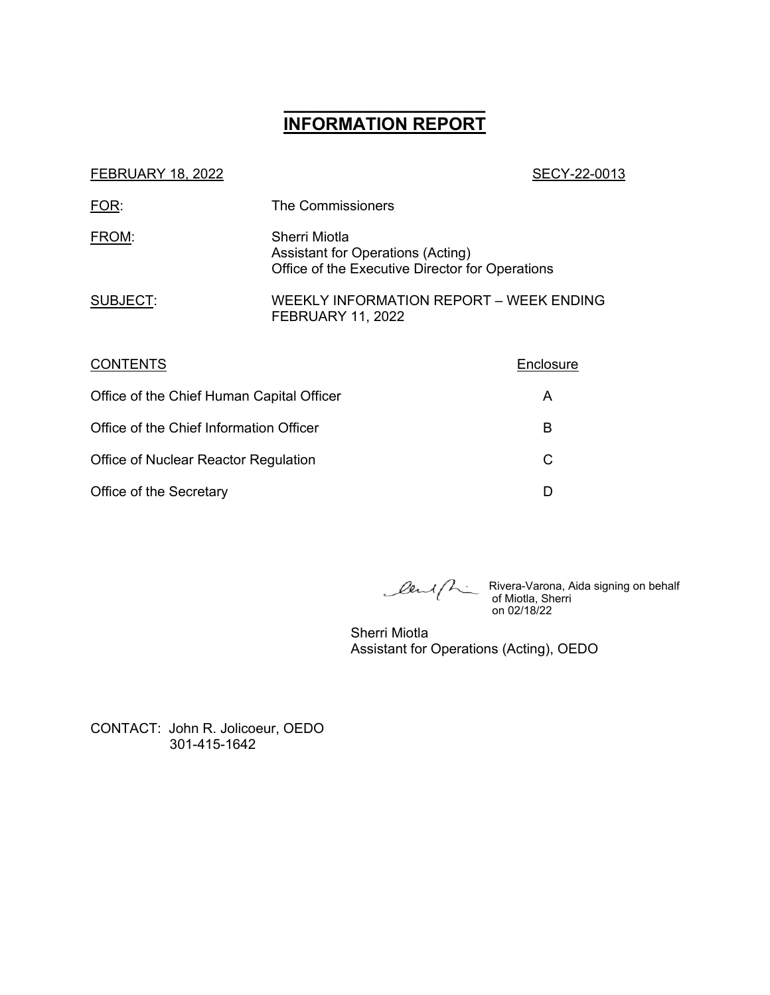# **\_\_\_\_\_\_\_\_\_\_\_\_\_\_\_\_\_\_ INFORMATION REPORT**

#### SECY-22-0013

| FOR:     | The Commissioners                                                                                     |
|----------|-------------------------------------------------------------------------------------------------------|
| FROM:    | Sherri Miotla<br>Assistant for Operations (Acting)<br>Office of the Executive Director for Operations |
| SUBJECT: | WEEKLY INFORMATION REPORT – WEEK ENDING<br><b>FEBRUARY 11, 2022</b>                                   |

| <b>CONTENTS</b>                           | Enclosure |
|-------------------------------------------|-----------|
| Office of the Chief Human Capital Officer | A         |
| Office of the Chief Information Officer   | в         |
| Office of Nuclear Reactor Regulation      | C         |
| Office of the Secretary                   |           |

Rivera-Varona, Aida signing on behalf of Miotla, Sherri on 02/18/22

Sherri Miotla Assistant for Operations (Acting), OEDO

CONTACT: John R. Jolicoeur, OEDO 301-415-1642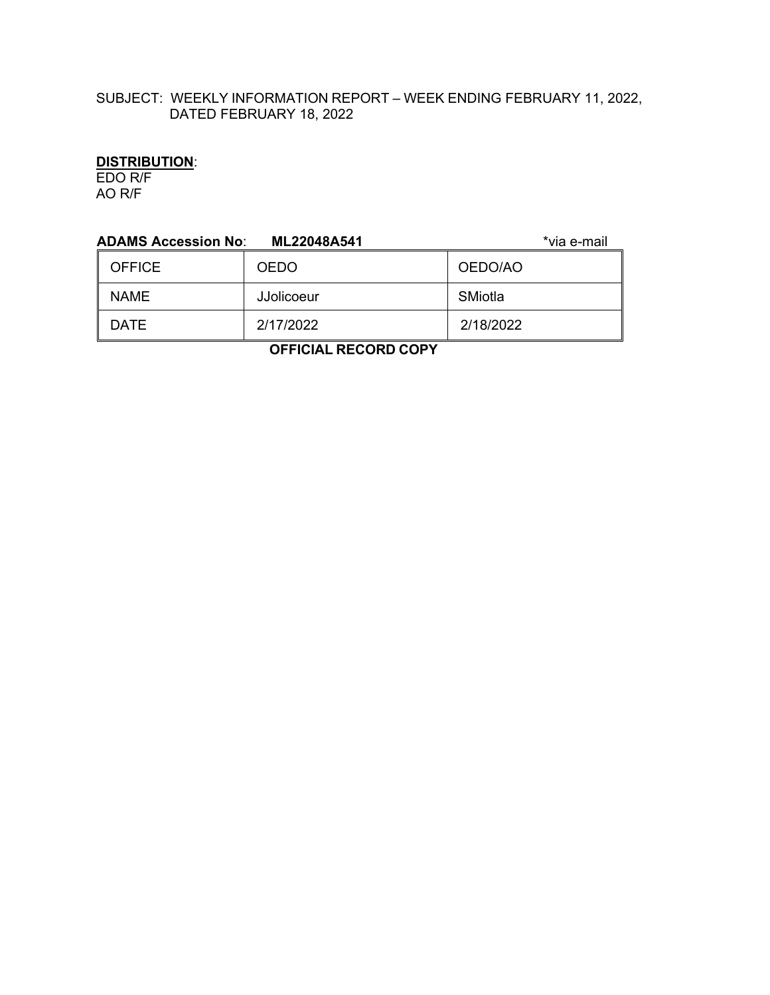## SUBJECT: WEEKLY INFORMATION REPORT – WEEK ENDING FEBRUARY 11, 2022, DATED FEBRUARY 18, 2022

## **DISTRIBUTION**:

EDO R/F AO R/F

| <b>ADAMS Accession No:</b> | *via e-mail |           |  |
|----------------------------|-------------|-----------|--|
| <b>OFFICE</b>              | <b>OEDO</b> | OEDO/AO   |  |
| <b>NAME</b>                | JJolicoeur  | SMiotla   |  |
| <b>DATE</b>                | 2/17/2022   | 2/18/2022 |  |
| .                          |             |           |  |

 **OFFICIAL RECORD COPY**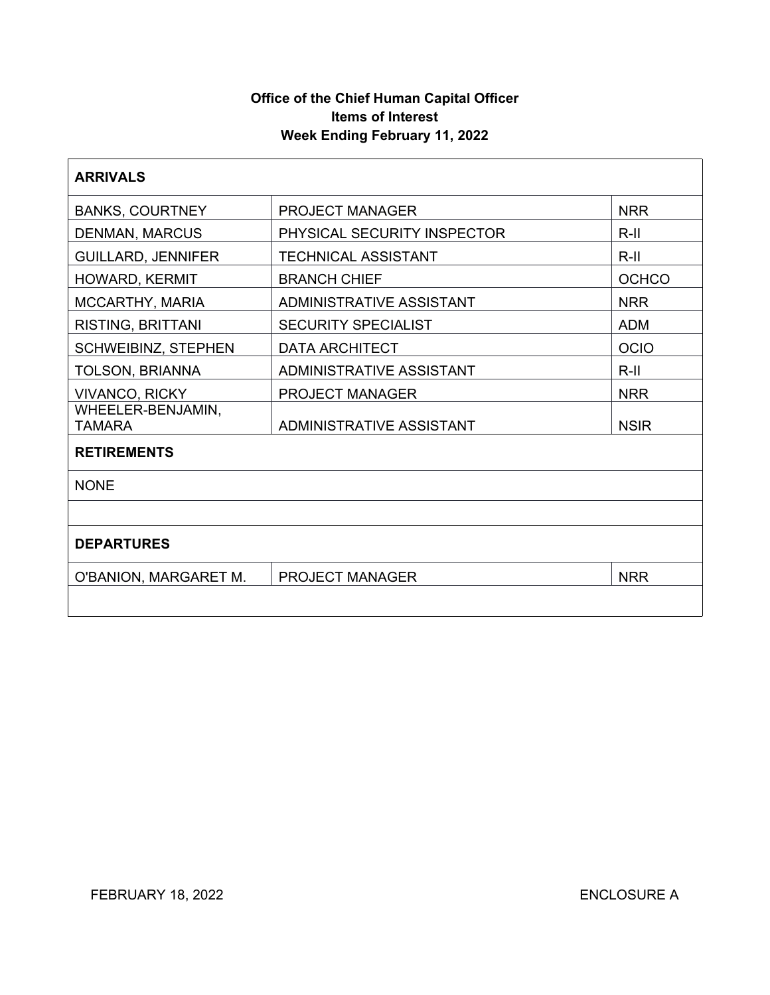## **Office of the Chief Human Capital Officer Items of Interest Week Ending February 11, 2022**

| <b>ARRIVALS</b>             |                                 |              |  |
|-----------------------------|---------------------------------|--------------|--|
| <b>BANKS, COURTNEY</b>      | <b>PROJECT MANAGER</b>          | <b>NRR</b>   |  |
| <b>DENMAN, MARCUS</b>       | PHYSICAL SECURITY INSPECTOR     | $R-II$       |  |
| <b>GUILLARD, JENNIFER</b>   | <b>TECHNICAL ASSISTANT</b>      | $R-II$       |  |
| HOWARD, KERMIT              | <b>BRANCH CHIEF</b>             | <b>OCHCO</b> |  |
| MCCARTHY, MARIA             | <b>ADMINISTRATIVE ASSISTANT</b> | <b>NRR</b>   |  |
| <b>RISTING, BRITTANI</b>    | <b>SECURITY SPECIALIST</b>      | <b>ADM</b>   |  |
| <b>SCHWEIBINZ, STEPHEN</b>  | <b>DATA ARCHITECT</b>           | <b>OCIO</b>  |  |
| <b>TOLSON, BRIANNA</b>      | <b>ADMINISTRATIVE ASSISTANT</b> | $R-II$       |  |
| <b>VIVANCO, RICKY</b>       | <b>PROJECT MANAGER</b>          | <b>NRR</b>   |  |
| WHEELER-BENJAMIN,<br>TAMARA | ADMINISTRATIVE ASSISTANT        | <b>NSIR</b>  |  |
| <b>RETIREMENTS</b>          |                                 |              |  |
| <b>NONE</b>                 |                                 |              |  |
|                             |                                 |              |  |
| <b>DEPARTURES</b>           |                                 |              |  |
| O'BANION, MARGARET M.       | PROJECT MANAGER                 | <b>NRR</b>   |  |
|                             |                                 |              |  |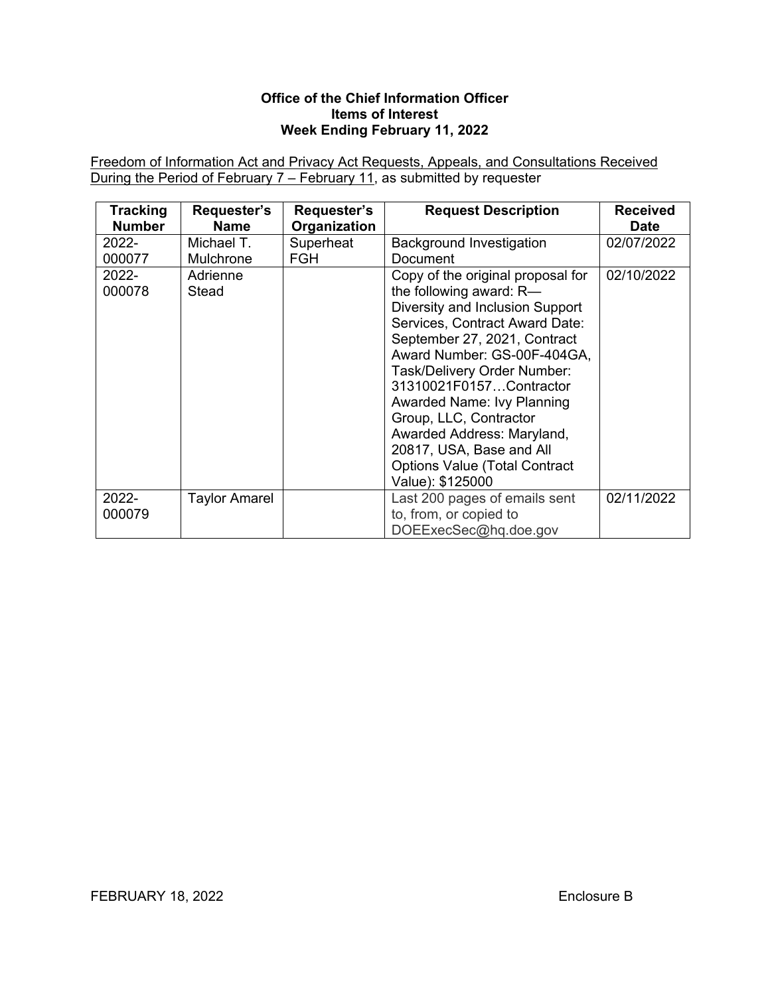#### **Office of the Chief Information Officer Items of Interest Week Ending February 11, 2022**

Freedom of Information Act and Privacy Act Requests, Appeals, and Consultations Received During the Period of February 7 – February 11, as submitted by requester

| <b>Tracking</b> | Requester's       | Requester's  | <b>Request Description</b>                                                                                                                                                                                                                                                                                                                                                                                                               | <b>Received</b> |
|-----------------|-------------------|--------------|------------------------------------------------------------------------------------------------------------------------------------------------------------------------------------------------------------------------------------------------------------------------------------------------------------------------------------------------------------------------------------------------------------------------------------------|-----------------|
| <b>Number</b>   | <b>Name</b>       | Organization |                                                                                                                                                                                                                                                                                                                                                                                                                                          | <b>Date</b>     |
| $2022 -$        | Michael T.        | Superheat    | <b>Background Investigation</b>                                                                                                                                                                                                                                                                                                                                                                                                          | 02/07/2022      |
| 000077          | Mulchrone         | <b>FGH</b>   | Document                                                                                                                                                                                                                                                                                                                                                                                                                                 |                 |
| 2022-<br>000078 | Adrienne<br>Stead |              | Copy of the original proposal for<br>the following award: R-<br>Diversity and Inclusion Support<br>Services, Contract Award Date:<br>September 27, 2021, Contract<br>Award Number: GS-00F-404GA,<br>Task/Delivery Order Number:<br>31310021F0157Contractor<br>Awarded Name: Ivy Planning<br>Group, LLC, Contractor<br>Awarded Address: Maryland,<br>20817, USA, Base and All<br><b>Options Value (Total Contract</b><br>Value): \$125000 | 02/10/2022      |
| 2022-<br>000079 | Taylor Amarel     |              | Last 200 pages of emails sent<br>to, from, or copied to<br>DOEExecSec@hq.doe.gov                                                                                                                                                                                                                                                                                                                                                         | 02/11/2022      |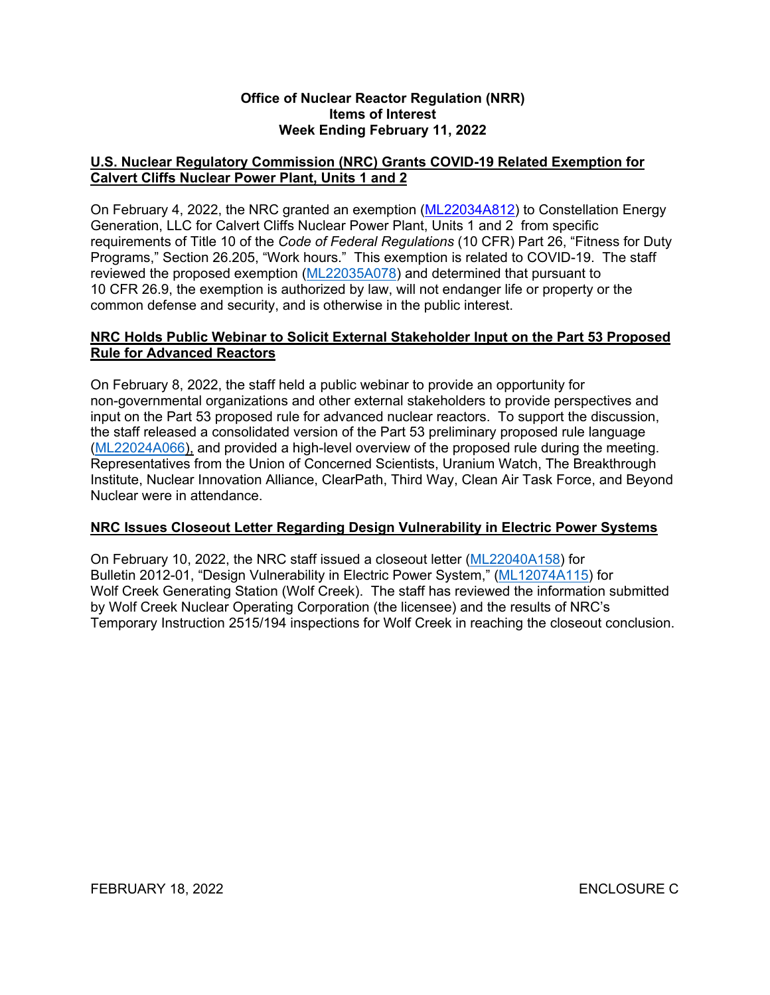#### **Office of Nuclear Reactor Regulation (NRR) Items of Interest Week Ending February 11, 2022**

## **U.S. Nuclear Regulatory Commission (NRC) Grants COVID-19 Related Exemption for Calvert Cliffs Nuclear Power Plant, Units 1 and 2**

On February 4, 2022, the NRC granted an exemption ([ML22034A812\)](https://adamsxt.nrc.gov/navigator/AdamsXT/content/downloadContent.faces?objectStoreName=MainLibrary&ForceBrowserDownloadMgrPrompt=false&vsId=%7b8CA37539-22A7-C8FA-858C-7EC11D500000%7d) to Constellation Energy Generation, LLC for Calvert Cliffs Nuclear Power Plant, Units 1 and 2 from specific requirements of Title 10 of the *Code of Federal Regulations* (10 CFR) Part 26, "Fitness for Duty Programs," Section 26.205, "Work hours." This exemption is related to COVID-19. The staff reviewed the proposed exemption ([ML22035A078](https://adamsxt.nrc.gov/navigator/AdamsXT/content/downloadContent.faces?objectStoreName=MainLibrary&vsId=%7bD3045CE0-23AC-C0BD-854E-7EC566900000%7d&ForceBrowserDownloadMgrPrompt=false)) and determined that pursuant to 10 CFR 26.9, the exemption is authorized by law, will not endanger life or property or the common defense and security, and is otherwise in the public interest.

## **NRC Holds Public Webinar to Solicit External Stakeholder Input on the Part 53 Proposed Rule for Advanced Reactors**

On February 8, 2022, the staff held a public webinar to provide an opportunity for non-governmental organizations and other external stakeholders to provide perspectives and input on the Part 53 proposed rule for advanced nuclear reactors. To support the discussion, the staff released a consolidated version of the Part 53 preliminary proposed rule language ([ML22024A066\),](https://adamsxt.nrc.gov/navigator/AdamsXT/content/downloadContent.faces?objectStoreName=MainLibrary&vsId=%7b191FCA08-B69A-CC50-862D-7E8C1D000000%7d&ForceBrowserDownloadMgrPrompt=false) and provided a high-level overview of the proposed rule during the meeting. Representatives from the Union of Concerned Scientists, Uranium Watch, The Breakthrough Institute, Nuclear Innovation Alliance, ClearPath, Third Way, Clean Air Task Force, and Beyond Nuclear were in attendance.

### **NRC Issues Closeout Letter Regarding Design Vulnerability in Electric Power Systems**

On February 10, 2022, the NRC staff issued a closeout letter [\(ML22040A158\)](https://adamsxt.nrc.gov/navigator/AdamsXT/content/downloadContent.faces?objectStoreName=MainLibrary&vsId=%7b2EE05253-115C-C8AC-8664-7EDFCBD00000%7d&ForceBrowserDownloadMgrPrompt=false) for Bulletin 2012-01, "Design Vulnerability in Electric Power System," ([ML12074A115](https://adamsxt.nrc.gov/navigator/AdamsXT/content/downloadContent.faces?objectStoreName=MainLibrary&vsId=%7bBECB0BB5-CEBC-4140-A135-94186D65559F%7d&ForceBrowserDownloadMgrPrompt=false)) for Wolf Creek Generating Station (Wolf Creek). The staff has reviewed the information submitted by Wolf Creek Nuclear Operating Corporation (the licensee) and the results of NRC's Temporary Instruction 2515/194 inspections for Wolf Creek in reaching the closeout conclusion.